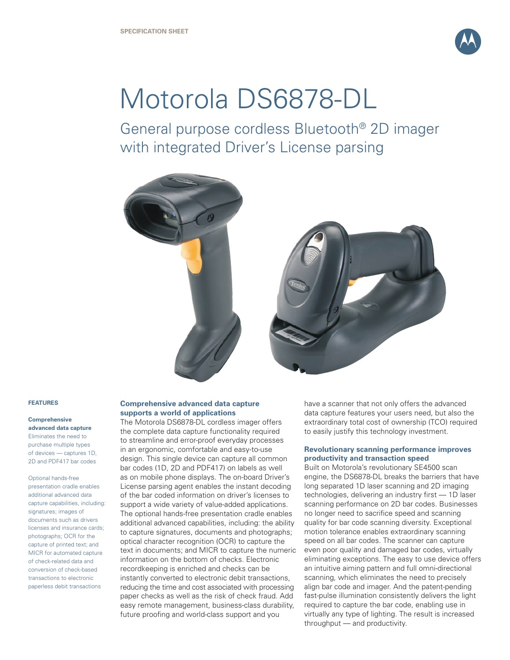

# Motorola DS6878-DL

General purpose cordless Bluetooth® 2D imager with integrated Driver's License parsing



#### **FEATURES**

# **Comprehensive advanced data capture**

Eliminates the need to purchase multiple types of devices — captures 1D, 2D and PDF417 bar codes

Optional hands-free presentation cradle enables additional advanced data capture capabilities, including: signatures; images of documents such as drivers licenses and insurance cards; photographs; OCR for the capture of printed text; and MICR for automated capture of check-related data and conversion of check-based transactions to electronic paperless debit transactions

#### **Comprehensive advanced data capture supports a world of applications**

The Motorola DS6878-DL cordless imager offers the complete data capture functionality required to streamline and error-proof everyday processes in an ergonomic, comfortable and easy-to-use design. This single device can capture all common bar codes (1D, 2D and PDF417) on labels as well as on mobile phone displays. The on-board Driver's License parsing agent enables the instant decoding of the bar coded information on driver's licenses to support a wide variety of value-added applications. The optional hands-free presentation cradle enables additional advanced capabilities, including: the ability to capture signatures, documents and photographs; optical character recognition (OCR) to capture the text in documents; and MICR to capture the numeric information on the bottom of checks. Electronic recordkeeping is enriched and checks can be instantly converted to electronic debit transactions, reducing the time and cost associated with processing paper checks as well as the risk of check fraud. Add easy remote management, business-class durability, future proofing and world-class support and you

have a scanner that not only offers the advanced data capture features your users need, but also the extraordinary total cost of ownership (TCO) required to easily justify this technology investment.

#### **Revolutionary scanning performance improves productivity and transaction speed**

Built on Motorola's revolutionary SE4500 scan engine, the DS6878-DL breaks the barriers that have long separated 1D laser scanning and 2D imaging technologies, delivering an industry first — 1D laser scanning performance on 2D bar codes. Businesses no longer need to sacrifice speed and scanning quality for bar code scanning diversity. Exceptional motion tolerance enables extraordinary scanning speed on all bar codes. The scanner can capture even poor quality and damaged bar codes, virtually eliminating exceptions. The easy to use device offers an intuitive aiming pattern and full omni-directional scanning, which eliminates the need to precisely align bar code and imager. And the patent-pending fast-pulse illumination consistently delivers the light required to capture the bar code, enabling use in virtually any type of lighting. The result is increased throughput — and productivity.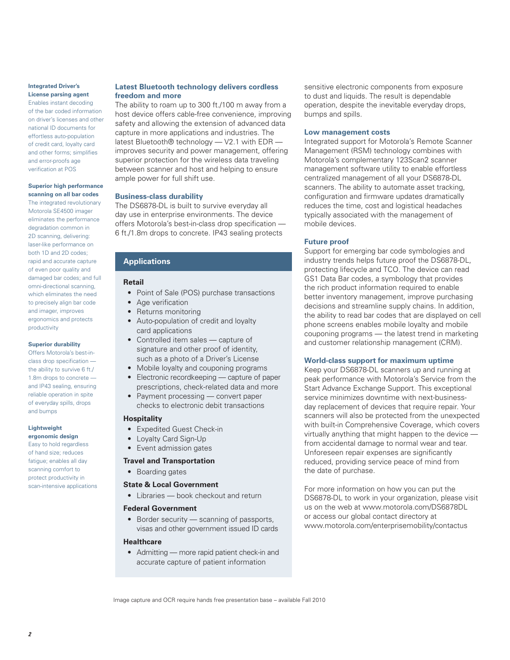# **Integrated Driver's License parsing agent**

Enables instant decoding of the bar coded information on driver's licenses and other national ID documents for effortless auto-population of credit card, loyalty card and other forms; simplifies and error-proofs age verification at POS

#### **Superior high performance scanning on all bar codes**

The integrated revolutionary Motorola SE4500 imager eliminates the performance degradation common in 2D scanning, delivering: laser-like performance on both 1D and 2D codes; rapid and accurate capture of even poor quality and damaged bar codes; and full omni-directional scanning, which eliminates the need to precisely align bar code and imager, improves ergonomics and protects productivity

#### **Superior durability**

Offers Motorola's best-inclass drop specification the ability to survive 6 ft./ 1.8m drops to concrete and IP43 sealing, ensuring reliable operation in spite of everyday spills, drops and bumps

#### **Lightweight ergonomic design**

Easy to hold regardless of hand size; reduces fatigue; enables all day scanning comfort to protect productivity in scan-intensive applications

#### **Latest Bluetooth technology delivers cordless freedom and more**

The ability to roam up to 300 ft./100 m away from a host device offers cable-free convenience, improving safety and allowing the extension of advanced data capture in more applications and industries. The latest Bluetooth® technology — V2.1 with EDR improves security and power management, offering superior protection for the wireless data traveling between scanner and host and helping to ensure ample power for full shift use.

# **Business-class durability**

The DS6878-DL is built to survive everyday all day use in enterprise environments. The device offers Motorola's best-in-class drop specification — 6 ft./1.8m drops to concrete. IP43 sealing protects

# **Applications**

# **Retail**

- Point of Sale (POS) purchase transactions
- Age verification
- Returns monitoring
- Auto-population of credit and loyalty card applications
- Controlled item sales capture of signature and other proof of identity, such as a photo of a Driver's License
- Mobile loyalty and couponing programs
- Electronic recordkeeping capture of paper prescriptions, check-related data and more
- Payment processing convert paper checks to electronic debit transactions

# **Hospitality**

- Expedited Guest Check-in
- Loyalty Card Sign-Up
- Event admission gates

# **Travel and Transportation**

• Boarding gates

# **State & Local Government**

• Libraries – book checkout and return

#### **Federal Government**

• Border security — scanning of passports, visas and other government issued ID cards

# **Healthcare**

• Admitting — more rapid patient check-in and accurate capture of patient information

sensitive electronic components from exposure to dust and liquids. The result is dependable operation, despite the inevitable everyday drops, bumps and spills.

#### **Low management costs**

Integrated support for Motorola's Remote Scanner Management (RSM) technology combines with Motorola's complementary 123Scan2 scanner management software utility to enable effortless centralized management of all your DS6878-DL scanners. The ability to automate asset tracking, configuration and firmware updates dramatically reduces the time, cost and logistical headaches typically associated with the management of mobile devices.

# **Future proof**

Support for emerging bar code symbologies and industry trends helps future proof the DS6878-DL, protecting lifecycle and TCO. The device can read GS1 Data Bar codes, a symbology that provides the rich product information required to enable better inventory management, improve purchasing decisions and streamline supply chains. In addition, the ability to read bar codes that are displayed on cell phone screens enables mobile loyalty and mobile couponing programs — the latest trend in marketing and customer relationship management (CRM).

# **World-class support for maximum uptime**

Keep your DS6878-DL scanners up and running at peak performance with Motorola's Service from the Start Advance Exchange Support. This exceptional service minimizes downtime with next-businessday replacement of devices that require repair. Your scanners will also be protected from the unexpected with built-in Comprehensive Coverage, which covers virtually anything that might happen to the device from accidental damage to normal wear and tear. Unforeseen repair expenses are significantly reduced, providing service peace of mind from the date of purchase.

For more information on how you can put the DS6878-DL to work in your organization, please visit us on the web at www.motorola.com/DS6878DL or access our global contact directory at www.motorola.com/enterprisemobility/contactus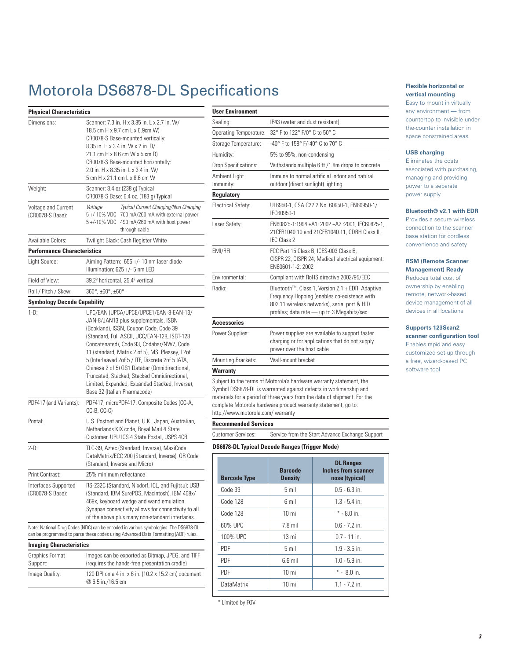# Motorola DS6878-DL Specifications

| <b>Physical Characteristics</b>          |                                                                                                                                                                                                                                                                                                                                                                                                                                                                                                                  |  |  |
|------------------------------------------|------------------------------------------------------------------------------------------------------------------------------------------------------------------------------------------------------------------------------------------------------------------------------------------------------------------------------------------------------------------------------------------------------------------------------------------------------------------------------------------------------------------|--|--|
| Dimensions:                              | Scanner: 7.3 in. H x 3.85 in. L x 2.7 in. W/<br>18.5 cm H x 9.7 cm L x 6.9cm W)<br>CR0078-S Base-mounted vertically:<br>8.35 in. H x 3.4 in. W x 2 in. D/<br>21.1 cm H x 8.6 cm W x 5 cm D)<br>CR0078-S Base-mounted horizontally:<br>2.0 in. H x 8.35 in. L x 3.4 in. W/<br>5 cm H x 21.1 cm L x 8.6 cm W                                                                                                                                                                                                       |  |  |
| Weight:                                  | Scanner: 8.4 oz (238 g) Typical<br>CR0078-S Base: 6.4 oz. (183 g) Typical                                                                                                                                                                                                                                                                                                                                                                                                                                        |  |  |
| Voltage and Current<br>(CR0078-S Base):  | Typical Current Charging/Non Charging<br>Voltage<br>700 mA/260 mA with external power<br>5+/-10% VDC<br>5 +/-10% VDC<br>490 mA/260 mA with host power<br>through cable                                                                                                                                                                                                                                                                                                                                           |  |  |
| Available Colors:                        | Twilight Black; Cash Register White                                                                                                                                                                                                                                                                                                                                                                                                                                                                              |  |  |
| <b>Performance Characteristics</b>       |                                                                                                                                                                                                                                                                                                                                                                                                                                                                                                                  |  |  |
| Light Source:                            | Aiming Pattern: 655 +/- 10 nm laser diode<br>Illumination: 625 +/- 5 nm LED                                                                                                                                                                                                                                                                                                                                                                                                                                      |  |  |
| Field of View:                           | 39.2º horizontal, 25.4º vertical                                                                                                                                                                                                                                                                                                                                                                                                                                                                                 |  |  |
| Roll / Pitch / Skew:                     | 360°, ±60°, ±60°                                                                                                                                                                                                                                                                                                                                                                                                                                                                                                 |  |  |
| Symbology Decode Capability              |                                                                                                                                                                                                                                                                                                                                                                                                                                                                                                                  |  |  |
| $1-D$ :                                  | UPC/EAN (UPCA/UPCE/UPCE1/EAN-8-EAN-13/<br>JAN-8/JAN13 plus supplementals, ISBN<br>(Bookland), ISSN, Coupon Code, Code 39<br>(Standard, Full ASCII, UCC/EAN-128, ISBT-128<br>Concatenated), Code 93, Codabar/NW7, Code<br>11 (standard, Matrix 2 of 5), MSI Plessey, I 2of<br>5 (Interleaved 2of 5 / ITF, Discrete 2of 5 IATA,<br>Chinese 2 of 5) GS1 Databar (Omnidirectional,<br>Truncated, Stacked, Stacked Omnidirectional,<br>Limited, Expanded, Expanded Stacked, Inverse),<br>Base 32 (Italian Pharmacode) |  |  |
| PDF417 (and Variants):                   | PDF417, microPDF417, Composite Codes (CC-A,<br>CC-B, CC-C)                                                                                                                                                                                                                                                                                                                                                                                                                                                       |  |  |
| Postal:                                  | U.S. Postnet and Planet, U.K., Japan, Australian,<br>Netherlands KIX code, Royal Mail 4 State<br>Customer, UPU ICS 4 State Postal, USPS 4CB                                                                                                                                                                                                                                                                                                                                                                      |  |  |
| $2-D:$                                   | TLC-39, Aztec (Standard, Inverse), MaxiCode,<br>DataMatrix/ECC 200 (Standard, Inverse), QR Code<br>(Standard, Inverse and Micro)                                                                                                                                                                                                                                                                                                                                                                                 |  |  |
| Print Contrast:                          | 25% minimum reflectance                                                                                                                                                                                                                                                                                                                                                                                                                                                                                          |  |  |
| Interfaces Supported<br>(CR0078-S Base): | RS-232C (Standard, Nixdorf, ICL, and Fujitsu); USB<br>(Standard, IBM SurePOS, Macintosh), IBM 468x/<br>469x, keyboard wedge and wand emulation.<br>Synapse connectivity allows for connectivity to all<br>of the above plus many non-standard interfaces.                                                                                                                                                                                                                                                        |  |  |
|                                          | Note: National Drug Codes (NDC) can be encoded in various symbologies. The DS6878-DL<br>can be programmed to parse these codes using Advanced Data Formatting (ADF) rules.                                                                                                                                                                                                                                                                                                                                       |  |  |
| <b>Imaging Characteristics</b>           |                                                                                                                                                                                                                                                                                                                                                                                                                                                                                                                  |  |  |
| Graphics Format                          | Images can be exported as Bitmap. JPEG, and TIFF                                                                                                                                                                                                                                                                                                                                                                                                                                                                 |  |  |

| Graphics Format | Images can be exported as Bitmap, JPEG, and TIFF                          |
|-----------------|---------------------------------------------------------------------------|
| Support:        | (requires the hands-free presentation cradle)                             |
| Image Quality:  | 120 DPI on a 4 in. x 6 in. (10.2 x 15.2 cm) document<br>@ 6.5 in./16.5 cm |

| <b>User Environment</b>    |                                                                                                                                                                                                |  |
|----------------------------|------------------------------------------------------------------------------------------------------------------------------------------------------------------------------------------------|--|
| Sealing:                   | IP43 (water and dust resistant)                                                                                                                                                                |  |
| Operating Temperature:     | 32° F to 122° F/0° C to 50° C                                                                                                                                                                  |  |
| Storage Temperature:       | -40° F to 158° F/-40° C to 70° C                                                                                                                                                               |  |
| Humidity:                  | 5% to 95%, non-condensing                                                                                                                                                                      |  |
| Drop Specifications:       | Withstands multiple 6 ft./1.8m drops to concrete                                                                                                                                               |  |
| Ambient Light<br>Immunity: | Immune to normal artificial indoor and natural<br>outdoor (direct sunlight) lighting                                                                                                           |  |
| <b>Regulatory</b>          |                                                                                                                                                                                                |  |
| Electrical Safety:         | UL6950-1, CSA C22.2 No. 60950-1, EN60950-1/<br>IEC60950-1                                                                                                                                      |  |
| Laser Safety:              | EN60825-1:1994 +A1: 2002 +A2 :2001, IEC60825-1,<br>21CFR1040.10 and 21CFR1040.11, CDRH Class II,<br>IFC Class 2                                                                                |  |
| EMI/RFI:                   | FCC Part 15 Class B, ICES-003 Class B,<br>CISPR 22, CISPR 24; Medical electrical equipment:<br>EN60601-1-2: 2002                                                                               |  |
| Environmental:             | Compliant with RoHS directive 2002/95/EEC                                                                                                                                                      |  |
| Radio:                     | Bluetooth™, Class 1, Version 2.1 + EDR, Adaptive<br>Frequency Hopping (enables co-existence with<br>802.11 wireless networks), serial port & HID<br>profiles; data rate - up to 3 Megabits/sec |  |
| <b>Accessories</b>         |                                                                                                                                                                                                |  |
| Power Supplies:            | Power supplies are available to support faster<br>charging or for applications that do not supply<br>power over the host cable                                                                 |  |
| Mounting Brackets:         | Wall-mount bracket                                                                                                                                                                             |  |
| <b>Warranty</b>            |                                                                                                                                                                                                |  |
|                            |                                                                                                                                                                                                |  |

Subject to the terms of Motorola's hardware warranty statement, the Symbol DS6878-DL is warranted against defects in workmanship and materials for a period of three years from the date of shipment. For the complete Motorola hardware product warranty statement, go to: http://www.motorola.com/ warranty

#### **Recommended Services**

Customer Services: Service from the Start Advance Exchange Support

**DS6878-DL Typical Decode Ranges (Trigger Mode)**

| <b>Barcode Type</b> | <b>Barcode</b><br><b>Density</b> | <b>DL Ranges</b><br><b>Inches from scanner</b><br>nose (typical) |
|---------------------|----------------------------------|------------------------------------------------------------------|
| Code 39             | 5 mil                            | $0.5 - 6.3$ in.                                                  |
| Code 128            | 6 mil                            | $1.3 - 5.4$ in.                                                  |
| Code 128            | $10$ mil                         | $* - 8.0$ in.                                                    |
| 60% UPC             | $7.8$ mil                        | $06 - 72$ in                                                     |
| 100% UPC            | $13$ mil                         | $0.7 - 11$ in.                                                   |
| <b>PDF</b>          | 5 mil                            | $1.9 - 3.5$ in.                                                  |
| <b>PDF</b>          | $6.6$ mil                        | $1.0 - 5.9$ in.                                                  |
| <b>PDF</b>          | $10$ mil                         | $* - 8.0$ in.                                                    |
| <b>DataMatrix</b>   | $10$ mil                         | $1.1 - 7.2$ in.                                                  |

\* Limited by FOV

#### **Flexible horizontal or vertical mounting**

Easy to mount in virtually any environment — from countertop to invisible underthe-counter installation in space constrained areas

# **USB charging**

Eliminates the costs associated with purchasing, managing and providing power to a separate power supply

#### **Bluetooth® v2.1 with EDR**

Provides a secure wireless connection to the scanner base station for cordless convenience and safety

#### **RSM (Remote Scanner Management) Ready**

Reduces total cost of ownership by enabling remote, network-based device management of all devices in all locations

#### **Supports 123Scan2**

**scanner configuration tool** Enables rapid and easy customized set-up through a free, wizard-based PC software tool